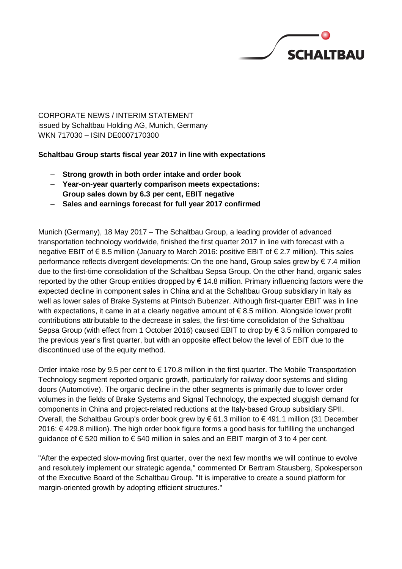

CORPORATE NEWS / INTERIM STATEMENT issued by Schaltbau Holding AG, Munich, Germany WKN 717030 – ISIN DE0007170300

## **Schaltbau Group starts fiscal year 2017 in line with expectations**

- **Strong growth in both order intake and order book**
- **Year-on-year quarterly comparison meets expectations: Group sales down by 6.3 per cent, EBIT negative**
- **Sales and earnings forecast for full year 2017 confirmed**

Munich (Germany), 18 May 2017 – The Schaltbau Group, a leading provider of advanced transportation technology worldwide, finished the first quarter 2017 in line with forecast with a negative EBIT of € 8.5 million (January to March 2016: positive EBIT of € 2.7 million). This sales performance reflects divergent developments: On the one hand, Group sales grew by € 7.4 million due to the first-time consolidation of the Schaltbau Sepsa Group. On the other hand, organic sales reported by the other Group entities dropped by  $\epsilon$  14.8 million. Primary influencing factors were the expected decline in component sales in China and at the Schaltbau Group subsidiary in Italy as well as lower sales of Brake Systems at Pintsch Bubenzer. Although first-quarter EBIT was in line with expectations, it came in at a clearly negative amount of  $\epsilon$  8.5 million. Alongside lower profit contributions attributable to the decrease in sales, the first-time consolidaton of the Schaltbau Sepsa Group (with effect from 1 October 2016) caused EBIT to drop by  $\epsilon$  3.5 million compared to the previous year's first quarter, but with an opposite effect below the level of EBIT due to the discontinued use of the equity method.

Order intake rose by 9.5 per cent to  $\epsilon$  170.8 million in the first quarter. The Mobile Transportation Technology segment reported organic growth, particularly for railway door systems and sliding doors (Automotive). The organic decline in the other segments is primarily due to lower order volumes in the fields of Brake Systems and Signal Technology, the expected sluggish demand for components in China and project-related reductions at the Italy-based Group subsidiary SPII. Overall, the Schaltbau Group's order book grew by € 61.3 million to € 491.1 million (31 December 2016: € 429.8 million). The high order book figure forms a good basis for fulfilling the unchanged guidance of  $\epsilon$  520 million to  $\epsilon$  540 million in sales and an EBIT margin of 3 to 4 per cent.

"After the expected slow-moving first quarter, over the next few months we will continue to evolve and resolutely implement our strategic agenda," commented Dr Bertram Stausberg, Spokesperson of the Executive Board of the Schaltbau Group. "It is imperative to create a sound platform for margin-oriented growth by adopting efficient structures."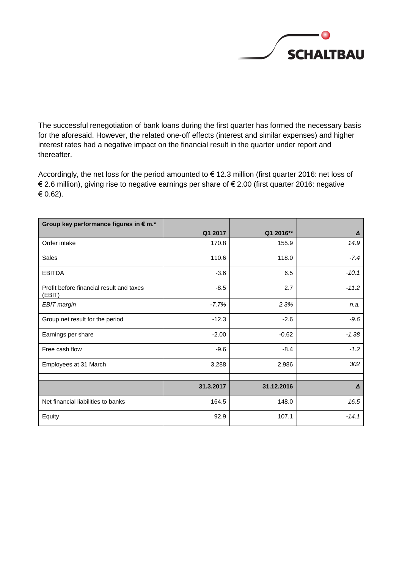

The successful renegotiation of bank loans during the first quarter has formed the necessary basis for the aforesaid. However, the related one-off effects (interest and similar expenses) and higher interest rates had a negative impact on the financial result in the quarter under report and thereafter.

Accordingly, the net loss for the period amounted to € 12.3 million (first quarter 2016: net loss of € 2.6 million), giving rise to negative earnings per share of € 2.00 (first quarter 2016: negative € 0.62).

| Group key performance figures in € m.*             |           |            |         |
|----------------------------------------------------|-----------|------------|---------|
|                                                    | Q1 2017   | Q1 2016**  | Δ       |
| Order intake                                       | 170.8     | 155.9      | 14.9    |
| Sales                                              | 110.6     | 118.0      | $-7.4$  |
| <b>EBITDA</b>                                      | $-3.6$    | 6.5        | $-10.1$ |
| Profit before financial result and taxes<br>(EBIT) | $-8.5$    | 2.7        | $-11.2$ |
| <b>EBIT</b> margin                                 | $-7.7%$   | 2.3%       | n.a.    |
| Group net result for the period                    | $-12.3$   | $-2.6$     | $-9.6$  |
| Earnings per share                                 | $-2.00$   | $-0.62$    | $-1.38$ |
| Free cash flow                                     | $-9.6$    | $-8.4$     | $-1.2$  |
| Employees at 31 March                              | 3,288     | 2,986      | 302     |
|                                                    |           |            |         |
|                                                    | 31.3.2017 | 31.12.2016 | Δ       |
| Net financial liabilities to banks                 | 164.5     | 148.0      | 16.5    |
| Equity                                             | 92.9      | 107.1      | $-14.1$ |